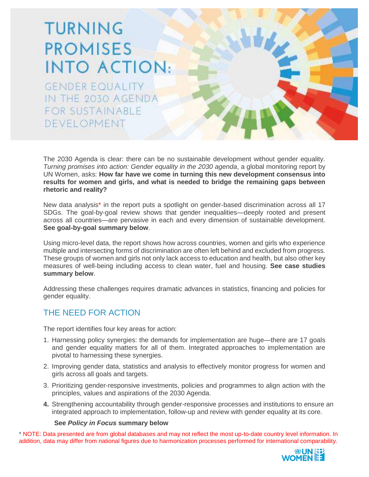# TURNING **PROMISES INTO ACTION:**

**GENDER EQUALITY** IN THE 2030 AGENDA FOR SUSTAINABLE DEVELOPMENT

The 2030 Agenda is clear: there can be no sustainable development without gender equality. *Turning promises into action: Gender equality in the 2030 agenda*, a global monitoring report by UN Women, asks: **How far have we come in turning this new development consensus into results for women and girls, and what is needed to bridge the remaining gaps between rhetoric and reality?**

New data analysis\* in the report puts a spotlight on gender-based discrimination across all 17 SDGs. The goal-by-goal review shows that gender inequalities—deeply rooted and present across all countries—are pervasive in each and every dimension of sustainable development. **See goal-by-goal summary below**.

Using micro-level data, the report shows how across countries, women and girls who experience multiple and intersecting forms of discrimination are often left behind and excluded from progress. These groups of women and girls not only lack access to education and health, but also other key measures of well-being including access to clean water, fuel and housing. **See case studies summary below**.

Addressing these challenges requires dramatic advances in statistics, financing and policies for gender equality.

## THE NEED FOR ACTION

The report identifies four key areas for action:

- 1. Harnessing policy synergies: the demands for implementation are huge—there are 17 goals and gender equality matters for all of them. Integrated approaches to implementation are pivotal to harnessing these synergies.
- 2. Improving gender data, statistics and analysis to effectively monitor progress for women and girls across all goals and targets.
- 3. Prioritizing gender-responsive investments, policies and programmes to align action with the principles, values and aspirations of the 2030 Agenda.
- **4.** Strengthening accountability through gender-responsive processes and institutions to ensure an integrated approach to implementation, follow-up and review with gender equality at its core.

## **See** *Policy in Focus* **summary below**

\* NOTE: Data presented are from global databases and may not reflect the most up-to-date country level information. In addition, data may differ from national figures due to harmonization processes performed for international comparability.

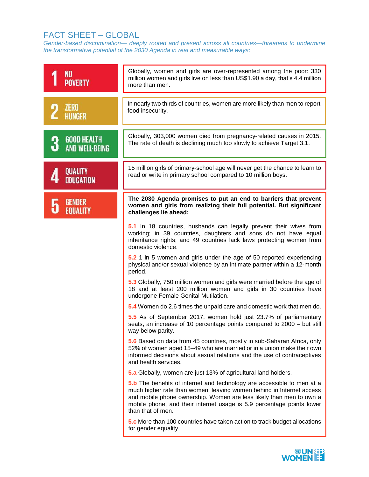# FACT SHEET – GLOBAL

*Gender-based discrimination— deeply rooted and present across all countries—threatens to undermine the transformative potential of the 2030 Agenda in real and measurable ways*:

| N <sub>0</sub><br><b>POVERTY</b>            | Globally, women and girls are over-represented among the poor: 330<br>million women and girls live on less than US\$1.90 a day, that's 4.4 million<br>more than men.                                                                                                                                                |  |  |
|---------------------------------------------|---------------------------------------------------------------------------------------------------------------------------------------------------------------------------------------------------------------------------------------------------------------------------------------------------------------------|--|--|
| <b>ZERO</b><br><b>HUNGER</b>                | In nearly two thirds of countries, women are more likely than men to report<br>food insecurity.                                                                                                                                                                                                                     |  |  |
| <b>GOOD HEALTH</b><br><b>AND WELL-BEING</b> | Globally, 303,000 women died from pregnancy-related causes in 2015.<br>The rate of death is declining much too slowly to achieve Target 3.1.                                                                                                                                                                        |  |  |
| <b>QUALITY</b><br><b>EDUCATION</b>          | 15 million girls of primary-school age will never get the chance to learn to<br>read or write in primary school compared to 10 million boys.                                                                                                                                                                        |  |  |
| <b>GENDER</b><br>EOUALITY                   | The 2030 Agenda promises to put an end to barriers that prevent<br>women and girls from realizing their full potential. But significant<br>challenges lie ahead:                                                                                                                                                    |  |  |
|                                             | 5.1 In 18 countries, husbands can legally prevent their wives from<br>working; in 39 countries, daughters and sons do not have equal<br>inheritance rights; and 49 countries lack laws protecting women from<br>domestic violence.                                                                                  |  |  |
|                                             | 5.2 1 in 5 women and girls under the age of 50 reported experiencing<br>physical and/or sexual violence by an intimate partner within a 12-month<br>period.                                                                                                                                                         |  |  |
|                                             | 5.3 Globally, 750 million women and girls were married before the age of<br>18 and at least 200 million women and girls in 30 countries have<br>undergone Female Genital Mutilation.                                                                                                                                |  |  |
|                                             | 5.4 Women do 2.6 times the unpaid care and domestic work that men do.                                                                                                                                                                                                                                               |  |  |
|                                             | 5.5 As of September 2017, women hold just 23.7% of parliamentary<br>seats, an increase of 10 percentage points compared to 2000 - but still<br>way below parity.                                                                                                                                                    |  |  |
|                                             | 5.6 Based on data from 45 countries, mostly in sub-Saharan Africa, only<br>52% of women aged 15–49 who are married or in a union make their own<br>informed decisions about sexual relations and the use of contraceptives<br>and health services.                                                                  |  |  |
|                                             | 5.a Globally, women are just 13% of agricultural land holders.                                                                                                                                                                                                                                                      |  |  |
|                                             | 5.b The benefits of internet and technology are accessible to men at a<br>much higher rate than women, leaving women behind in Internet access<br>and mobile phone ownership. Women are less likely than men to own a<br>mobile phone, and their internet usage is 5.9 percentage points lower<br>than that of men. |  |  |
|                                             | 5.c More than 100 countries have taken action to track budget allocations<br>for gender equality.                                                                                                                                                                                                                   |  |  |

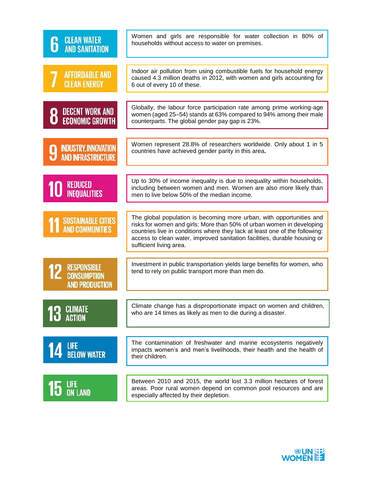| <b>CLEAN WATER</b><br><b>AND SANITATION</b>                       | Women and girls are responsible for water collection in 80% of<br>households without access to water on premises.                                                                                                                                                                                                                    |
|-------------------------------------------------------------------|--------------------------------------------------------------------------------------------------------------------------------------------------------------------------------------------------------------------------------------------------------------------------------------------------------------------------------------|
| <b>AFFORDABLE AND</b><br><b>CLEAN ENERGY</b>                      | Indoor air pollution from using combustible fuels for household energy<br>caused 4.3 million deaths in 2012, with women and girls accounting for<br>6 out of every 10 of these.                                                                                                                                                      |
| <b>DECENT WORK AND</b><br><b>ECONOMIC GROWTH</b>                  | Globally, the labour force participation rate among prime working-age<br>women (aged 25-54) stands at 63% compared to 94% among their male<br>counterparts. The global gender pay gap is 23%.                                                                                                                                        |
| <b>INDUSTRY, INNOVATION</b><br><b>AND INFRASTRUCTURE</b>          | Women represent 28.8% of researchers worldwide. Only about 1 in 5<br>countries have achieved gender parity in this area.                                                                                                                                                                                                             |
| REDUCED<br>INEQUALITIES                                           | Up to 30% of income inequality is due to inequality within households,<br>including between women and men. Women are also more likely than<br>men to live below 50% of the median income.                                                                                                                                            |
| <b>SUSTAINABLE CITIES</b><br><b>AND COMMUNITIES</b>               | The global population is becoming more urban, with opportunities and<br>risks for women and girls: More than 50% of urban women in developing<br>countries live in conditions where they lack at least one of the following:<br>access to clean water, improved sanitation facilities, durable housing or<br>sufficient living area. |
| <b>RESPONSIBLE</b><br><b>CONSUMPTION</b><br><b>AND PRODUCTION</b> | Investment in public transportation yields large benefits for women, who<br>tend to rely on public transport more than men do.                                                                                                                                                                                                       |
| CLIMATE<br><b>ACTION</b>                                          | Climate change has a disproportionate impact on women and children,<br>who are 14 times as likely as men to die during a disaster.                                                                                                                                                                                                   |
| LIFE<br>Below Water                                               | The contamination of freshwater and marine ecosystems negatively<br>impacts women's and men's livelihoods, their health and the health of<br>their children.                                                                                                                                                                         |
| LIFE<br>On Land                                                   | Between 2010 and 2015, the world lost 3.3 million hectares of forest<br>areas. Poor rural women depend on common pool resources and are<br>especially affected by their depletion.                                                                                                                                                   |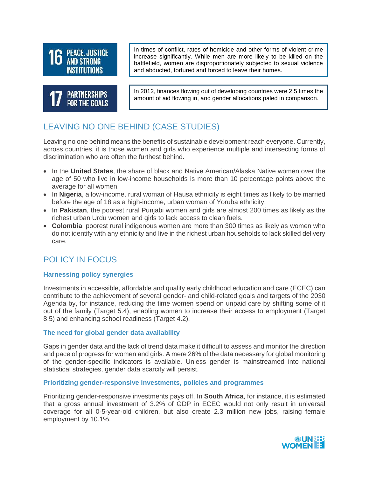



In times of conflict, rates of homicide and other forms of violent crime increase significantly. While men are more likely to be killed on the battlefield, women are disproportionately subjected to sexual violence and abducted, tortured and forced to leave their homes.

In 2012, finances flowing out of developing countries were 2.5 times the amount of aid flowing in, and gender allocations paled in comparison.

# LEAVING NO ONE BEHIND (CASE STUDIES)

Leaving no one behind means the benefits of sustainable development reach everyone. Currently, across countries, it is those women and girls who experience multiple and intersecting forms of discrimination who are often the furthest behind.

- In the **United States**, the share of black and Native American/Alaska Native women over the age of 50 who live in low-income households is more than 10 percentage points above the average for all women.
- In **Nigeria**, a low-income, rural woman of Hausa ethnicity is eight times as likely to be married before the age of 18 as a high-income, urban woman of Yoruba ethnicity.
- In **Pakistan**, the poorest rural Punjabi women and girls are almost 200 times as likely as the richest urban Urdu women and girls to lack access to clean fuels.
- **Colombia**, poorest rural indigenous women are more than 300 times as likely as women who do not identify with any ethnicity and live in the richest urban households to lack skilled delivery care.

## POLICY IN FOCUS

## **Harnessing policy synergies**

Investments in accessible, affordable and quality early childhood education and care (ECEC) can contribute to the achievement of several gender- and child-related goals and targets of the 2030 Agenda by, for instance, reducing the time women spend on unpaid care by shifting some of it out of the family (Target 5.4), enabling women to increase their access to employment (Target 8.5) and enhancing school readiness (Target 4.2).

## **The need for global gender data availability**

Gaps in gender data and the lack of trend data make it difficult to assess and monitor the direction and pace of progress for women and girls. A mere 26% of the data necessary for global monitoring of the gender-specific indicators is available. Unless gender is mainstreamed into national statistical strategies, gender data scarcity will persist.

## **Prioritizing gender-responsive investments, policies and programmes**

Prioritizing gender-responsive investments pays off. In **South Africa**, for instance, it is estimated that a gross annual investment of 3.2% of GDP in ECEC would not only result in universal coverage for all 0-5-year-old children, but also create 2.3 million new jobs, raising female employment by 10.1%.

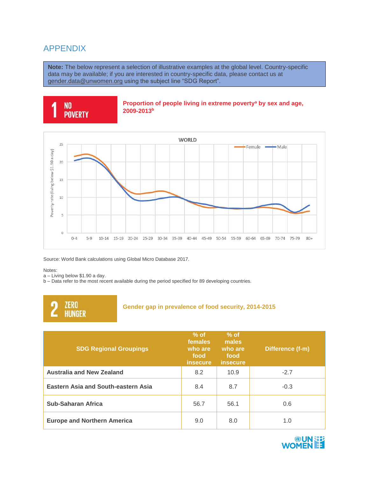## APPENDIX

**Note:** The below represent a selection of illustrative examples at the global level. Country-specific data may be available; if you are interested in country-specific data, please contact us at [gender.data@unwomen.org](mailto:gender.data@unwomen.org) using the subject line "SDG Report".





Source: World Bank calculations using Global Micro Database 2017.

Notes:

a – Living below \$1.90 a day.

b – Data refer to the most recent available during the period specified for 89 developing countries.



#### **Gender gap in prevalence of food security, 2014-2015**

| <b>SDG Regional Groupings</b>              | $%$ of<br>females<br>who are<br>food<br><i>insecure</i> | $%$ of<br>males<br>who are<br>food<br>insecure | Difference (f-m) |
|--------------------------------------------|---------------------------------------------------------|------------------------------------------------|------------------|
| <b>Australia and New Zealand</b>           | 8.2                                                     | 10.9                                           | $-2.7$           |
| <b>Eastern Asia and South-eastern Asia</b> | 8.4                                                     | 8.7                                            | $-0.3$           |
| <b>Sub-Saharan Africa</b>                  | 56.7                                                    | 56.1                                           | 0.6              |
| <b>Europe and Northern America</b>         | 9.0                                                     | 8.0                                            | 1.0              |

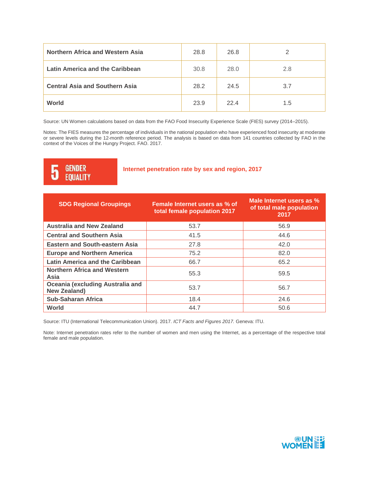| Northern Africa and Western Asia      | 28.8 | 26.8 | っ   |
|---------------------------------------|------|------|-----|
| Latin America and the Caribbean       | 30.8 | 28.0 | 2.8 |
| <b>Central Asia and Southern Asia</b> | 28.2 | 24.5 | 3.7 |
| World                                 | 23.9 | 22.4 | 1.5 |

Source: UN Women calculations based on data from the FAO Food Insecurity Experience Scale (FIES) survey (2014–2015).

Notes: The FIES measures the percentage of individuals in the national population who have experienced food insecurity at moderate or severe levels during the 12-month reference period. The analysis is based on data from 141 countries collected by FAO in the context of the Voices of the Hungry Project. FAO. 2017.

#### **GENDER** 5 **EQUALITY**

#### **Internet penetration rate by sex and region, 2017**

| <b>SDG Regional Groupings</b>                           | Female Internet users as % of<br>total female population 2017 | Male Internet users as %<br>of total male population<br>2017 |
|---------------------------------------------------------|---------------------------------------------------------------|--------------------------------------------------------------|
| <b>Australia and New Zealand</b>                        | 53.7                                                          | 56.9                                                         |
| <b>Central and Southern Asia</b>                        | 41.5                                                          | 44.6                                                         |
| <b>Eastern and South-eastern Asia</b>                   | 27.8                                                          | 42.0                                                         |
| <b>Europe and Northern America</b>                      | 75.2                                                          | 82.0                                                         |
| <b>Latin America and the Caribbean</b>                  | 66.7                                                          | 65.2                                                         |
| <b>Northern Africa and Western</b><br>Asia              | 55.3                                                          | 59.5                                                         |
| Oceania (excluding Australia and<br><b>New Zealand)</b> | 53.7                                                          | 56.7                                                         |
| <b>Sub-Saharan Africa</b>                               | 18.4                                                          | 24.6                                                         |
| World                                                   | 44.7                                                          | 50.6                                                         |

Source: ITU (International Telecommunication Union). 2017. *ICT Facts and Figures 2017.* Geneva: ITU.

Note: Internet penetration rates refer to the number of women and men using the Internet, as a percentage of the respective total female and male population.

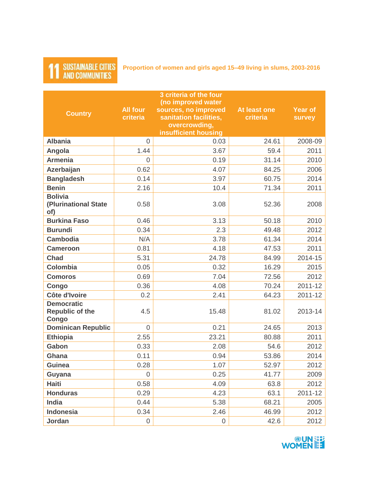## **SUSTAINABLE CITIES AND COMMUNITIES**

**Proportion of women and girls aged 15–49 living in slums, 2003-2016**

#### **Country All four criteria 3 criteria of the four (no improved water sources, no improved sanitation facilities, overcrowding, insufficient housing At least one criteria Year of survey Albania** 0 0.03 24.61 2008-09 **Angola** 1.44 3.67 59.4 2011 **Armenia** 0 0.19 31.14 2010 **Azerbaijan** 1.07 84.25 2006 **Bangladesh** 0.14 3.97 60.75 2014 **Benin** 2.16 10.4 71.34 2011 **Bolivia (Plurinational State of)** 0.58 3.08 52.36 2008 **Burkina Faso**  $\begin{array}{|c|c|c|c|c|c|} \hline \textbf{B} & 3.13 & 50.18 & 2010 \\ \hline \end{array}$ **Burundi** 0.34 2.3 49.48 2012 **Cambodia** N/A 3.78 61.34 2014 **Cameroon** 0.81 4.18 47.53 2011 **Chad** 5.31 24.78 84.99 2014-15 **Colombia** 0.05 0.32 16.29 2015 **Comoros** 0.69 7.04 72.56 2012 **Congo** 0.36 4.08 70.24 2011-12 **Côte d'Ivoire** 0.2 2.41 64.23 2011-12 **Democratic Republic of the Congo** 4.5 15.48 81.02 2013-14 **Dominican Republic** 0 0.21 24.65 2013 **Ethiopia** 2.55 23.21 80.88 2011 **Gabon** 0.33 2.08 54.6 2012 **Ghana** 0.11 0.94 53.86 2014 **Guinea** 0.28 1.07 52.97 2012 **Guyana** 0 0.25 41.77 2009 **Haiti** 0.58 4.09 63.8 2012 **Honduras** 0.29 4.23 63.1 2011-12 **India** 0.44 5.38 68.21 2005 **Indonesia** 0.34 2.46 46.99 2012 **Jordan 0 | 0 | 42.6 | 2012**

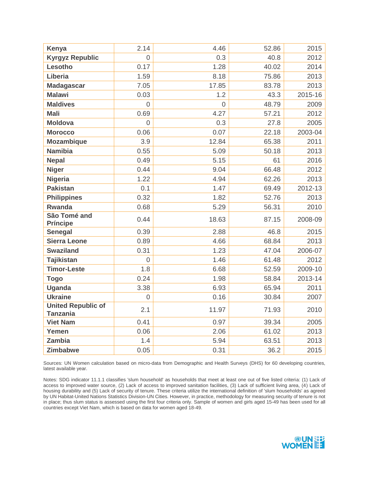| Kenya                                        | 2.14 | 4.46     | 52.86 | 2015    |
|----------------------------------------------|------|----------|-------|---------|
| <b>Kyrgyz Republic</b>                       | 0    | 0.3      | 40.8  | 2012    |
| Lesotho                                      | 0.17 | 1.28     | 40.02 | 2014    |
| Liberia                                      | 1.59 | 8.18     | 75.86 | 2013    |
| <b>Madagascar</b>                            | 7.05 | 17.85    | 83.78 | 2013    |
| <b>Malawi</b>                                | 0.03 | 1.2      | 43.3  | 2015-16 |
| <b>Maldives</b>                              | 0    | $\Omega$ | 48.79 | 2009    |
| <b>Mali</b>                                  | 0.69 | 4.27     | 57.21 | 2012    |
| <b>Moldova</b>                               | 0    | 0.3      | 27.8  | 2005    |
| <b>Morocco</b>                               | 0.06 | 0.07     | 22.18 | 2003-04 |
| <b>Mozambique</b>                            | 3.9  | 12.84    | 65.38 | 2011    |
| <b>Namibia</b>                               | 0.55 | 5.09     | 50.18 | 2013    |
| <b>Nepal</b>                                 | 0.49 | 5.15     | 61    | 2016    |
| <b>Niger</b>                                 | 0.44 | 9.04     | 66.48 | 2012    |
| <b>Nigeria</b>                               | 1.22 | 4.94     | 62.26 | 2013    |
| <b>Pakistan</b>                              | 0.1  | 1.47     | 69.49 | 2012-13 |
| <b>Philippines</b>                           | 0.32 | 1.82     | 52.76 | 2013    |
| <b>Rwanda</b>                                | 0.68 | 5.29     | 56.31 | 2010    |
| São Tomé and<br><b>Príncipe</b>              | 0.44 | 18.63    | 87.15 | 2008-09 |
| <b>Senegal</b>                               | 0.39 | 2.88     | 46.8  | 2015    |
| <b>Sierra Leone</b>                          | 0.89 | 4.66     | 68.84 | 2013    |
| <b>Swaziland</b>                             | 0.31 | 1.23     | 47.04 | 2006-07 |
| <b>Tajikistan</b>                            | 0    | 1.46     | 61.48 | 2012    |
| <b>Timor-Leste</b>                           | 1.8  | 6.68     | 52.59 | 2009-10 |
| <b>Togo</b>                                  | 0.24 | 1.98     | 58.84 | 2013-14 |
| <b>Uganda</b>                                | 3.38 | 6.93     | 65.94 | 2011    |
| <b>Ukraine</b>                               | 0    | 0.16     | 30.84 | 2007    |
| <b>United Republic of</b><br><b>Tanzania</b> | 2.1  | 11.97    | 71.93 | 2010    |
| <b>Viet Nam</b>                              | 0.41 | 0.97     | 39.34 | 2005    |
| Yemen                                        | 0.06 | 2.06     | 61.02 | 2013    |
| <b>Zambia</b>                                | 1.4  | 5.94     | 63.51 | 2013    |
| <b>Zimbabwe</b>                              | 0.05 | 0.31     | 36.2  | 2015    |

Sources: UN Women calculation based on micro-data from Demographic and Health Surveys (DHS) for 60 developing countries, latest available year.

Notes: SDG indicator 11.1.1 classifies 'slum household' as households that meet at least one out of five listed criteria: (1) Lack of access to improved water source, (2) Lack of access to improved sanitation facilities, (3) Lack of sufficient living area, (4) Lack of housing durability and (5) Lack of security of tenure. These criteria utilize the international definition of 'slum households' as agreed by UN Habitat-United Nations Statistics Division-UN Cities. However, in practice, methodology for measuring security of tenure is not in place; thus slum status is assessed using the first four criteria only. Sample of women and girls aged 15-49 has been used for all countries except Viet Nam, which is based on data for women aged 18-49.